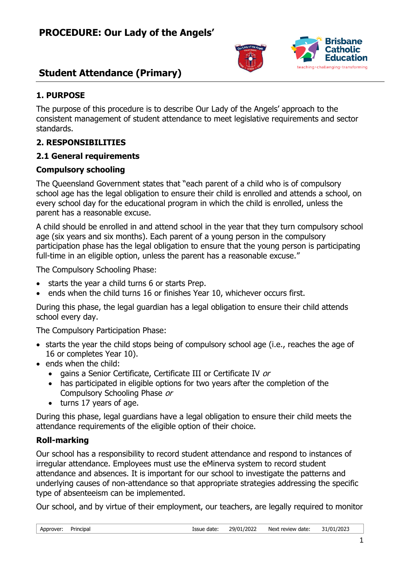



### **1. PURPOSE**

The purpose of this procedure is to describe Our Lady of the Angels' approach to the consistent management of student attendance to meet legislative requirements and sector standards.

### **2. RESPONSIBILITIES**

### **2.1 General requirements**

### **Compulsory schooling**

The Queensland Government states that "each parent of a child who is of compulsory school age has the legal obligation to ensure their child is enrolled and attends a school, on every school day for the educational program in which the child is enrolled, unless the parent has a reasonable excuse.

A child should be enrolled in and attend school in the year that they turn compulsory school age (six years and six months). Each parent of a young person in the compulsory participation phase has the legal obligation to ensure that the young person is participating full-time in an eligible option, unless the parent has a reasonable excuse."

The Compulsory Schooling Phase:

- starts the year a child turns 6 or starts Prep.
- ends when the child turns 16 or finishes Year 10, whichever occurs first.

During this phase, the legal guardian has a legal obligation to ensure their child attends school every day.

The Compulsory Participation Phase:

- starts the year the child stops being of compulsory school age (i.e., reaches the age of 16 or completes Year 10).
- ends when the child:
	- gains a Senior Certificate, Certificate III or Certificate IV or
	- has participated in eligible options for two years after the completion of the Compulsory Schooling Phase or
	- turns 17 years of age.

During this phase, legal guardians have a legal obligation to ensure their child meets the attendance requirements of the eligible option of their choice.

### **Roll-marking**

Our school has a responsibility to record student attendance and respond to instances of irregular attendance. Employees must use the eMinerva system to record student attendance and absences. It is important for our school to investigate the patterns and underlying causes of non-attendance so that appropriate strategies addressing the specific type of absenteeism can be implemented.

Our school, and by virtue of their employment, our teachers, are legally required to monitor

| Approver: | Principal |  |
|-----------|-----------|--|
|           |           |  |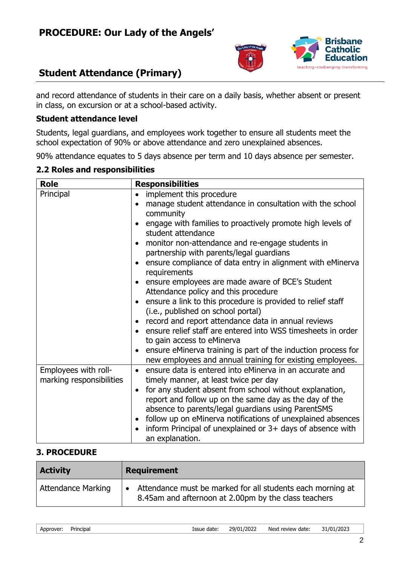



and record attendance of students in their care on a daily basis, whether absent or present in class, on excursion or at a school-based activity.

### **Student attendance level**

Students, legal guardians, and employees work together to ensure all students meet the school expectation of 90% or above attendance and zero unexplained absences.

90% attendance equates to 5 days absence per term and 10 days absence per semester.

| <b>Role</b>              | <b>Responsibilities</b>                                                                                                    |
|--------------------------|----------------------------------------------------------------------------------------------------------------------------|
| Principal                | implement this procedure                                                                                                   |
|                          | manage student attendance in consultation with the school                                                                  |
|                          | community                                                                                                                  |
|                          | engage with families to proactively promote high levels of<br>student attendance                                           |
|                          | monitor non-attendance and re-engage students in                                                                           |
|                          | partnership with parents/legal guardians                                                                                   |
|                          | ensure compliance of data entry in alignment with eMinerva<br>requirements                                                 |
|                          | ensure employees are made aware of BCE's Student                                                                           |
|                          | Attendance policy and this procedure                                                                                       |
|                          | ensure a link to this procedure is provided to relief staff<br>(i.e., published on school portal)                          |
|                          | record and report attendance data in annual reviews                                                                        |
|                          | ensure relief staff are entered into WSS timesheets in order                                                               |
|                          | to gain access to eMinerva                                                                                                 |
|                          | ensure eMinerva training is part of the induction process for<br>new employees and annual training for existing employees. |
| Employees with roll-     | ensure data is entered into eMinerva in an accurate and                                                                    |
| marking responsibilities | timely manner, at least twice per day                                                                                      |
|                          | for any student absent from school without explanation,<br>$\bullet$                                                       |
|                          | report and follow up on the same day as the day of the                                                                     |
|                          | absence to parents/legal guardians using ParentSMS                                                                         |
|                          | follow up on eMinerva notifications of unexplained absences                                                                |
|                          | inform Principal of unexplained or 3+ days of absence with<br>an explanation.                                              |

### **2.2 Roles and responsibilities**

### **3. PROCEDURE**

| <b>Activity</b>           | <b>Requirement</b>                                                                                                              |
|---------------------------|---------------------------------------------------------------------------------------------------------------------------------|
| <b>Attendance Marking</b> | Attendance must be marked for all students each morning at<br>$\bullet$<br>8.45am and afternoon at 2.00pm by the class teachers |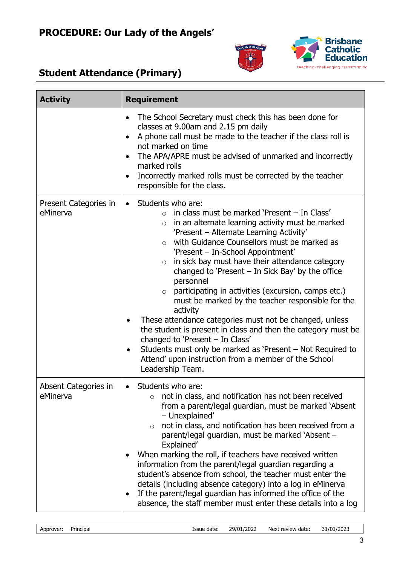



| <b>Activity</b>                   | <b>Requirement</b>                                                                                                                                                                                                                                                                                                                                                                                                                                                                                                                                                                                                                                                                                                                                                                                                                                                                            |
|-----------------------------------|-----------------------------------------------------------------------------------------------------------------------------------------------------------------------------------------------------------------------------------------------------------------------------------------------------------------------------------------------------------------------------------------------------------------------------------------------------------------------------------------------------------------------------------------------------------------------------------------------------------------------------------------------------------------------------------------------------------------------------------------------------------------------------------------------------------------------------------------------------------------------------------------------|
|                                   | The School Secretary must check this has been done for<br>$\bullet$<br>classes at 9.00am and 2.15 pm daily<br>A phone call must be made to the teacher if the class roll is<br>$\bullet$<br>not marked on time<br>The APA/APRE must be advised of unmarked and incorrectly<br>$\bullet$<br>marked rolls<br>Incorrectly marked rolls must be corrected by the teacher<br>$\bullet$<br>responsible for the class.                                                                                                                                                                                                                                                                                                                                                                                                                                                                               |
| Present Categories in<br>eMinerva | Students who are:<br>$\bullet$<br>in class must be marked 'Present - In Class'<br>$\Omega$<br>in an alternate learning activity must be marked<br>$\circ$<br>'Present - Alternate Learning Activity'<br>with Guidance Counsellors must be marked as<br>$\circ$<br>'Present - In-School Appointment'<br>in sick bay must have their attendance category<br>$\circ$<br>changed to 'Present $-$ In Sick Bay' by the office<br>personnel<br>participating in activities (excursion, camps etc.)<br>$\circ$<br>must be marked by the teacher responsible for the<br>activity<br>These attendance categories must not be changed, unless<br>the student is present in class and then the category must be<br>changed to 'Present - In Class'<br>Students must only be marked as 'Present – Not Required to<br>$\bullet$<br>Attend' upon instruction from a member of the School<br>Leadership Team. |
| Absent Categories in<br>eMinerva  | Students who are:<br>$\bullet$<br>not in class, and notification has not been received<br>$\circ$<br>from a parent/legal guardian, must be marked 'Absent<br>- Unexplained'<br>not in class, and notification has been received from a<br>$\circ$<br>parent/legal guardian, must be marked `Absent -<br>Explained'<br>When marking the roll, if teachers have received written<br>information from the parent/legal guardian regarding a<br>student's absence from school, the teacher must enter the<br>details (including absence category) into a log in eMinerva<br>If the parent/legal guardian has informed the office of the<br>٠<br>absence, the staff member must enter these details into a log                                                                                                                                                                                     |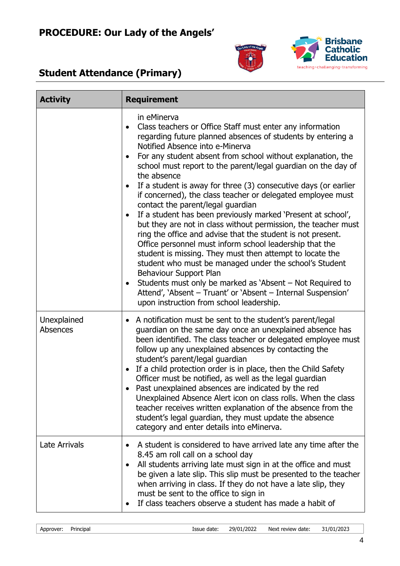



| <b>Activity</b>         | <b>Requirement</b>                                                                                                                                                                                                                                                                                                                                                                                                                                                                                                                                                                                                                                                                                                                                                                                                                                                                                                                                                                                                                                                                    |
|-------------------------|---------------------------------------------------------------------------------------------------------------------------------------------------------------------------------------------------------------------------------------------------------------------------------------------------------------------------------------------------------------------------------------------------------------------------------------------------------------------------------------------------------------------------------------------------------------------------------------------------------------------------------------------------------------------------------------------------------------------------------------------------------------------------------------------------------------------------------------------------------------------------------------------------------------------------------------------------------------------------------------------------------------------------------------------------------------------------------------|
|                         | in eMinerva<br>Class teachers or Office Staff must enter any information<br>regarding future planned absences of students by entering a<br>Notified Absence into e-Minerva<br>For any student absent from school without explanation, the<br>school must report to the parent/legal guardian on the day of<br>the absence<br>If a student is away for three (3) consecutive days (or earlier<br>if concerned), the class teacher or delegated employee must<br>contact the parent/legal guardian<br>If a student has been previously marked 'Present at school',<br>but they are not in class without permission, the teacher must<br>ring the office and advise that the student is not present.<br>Office personnel must inform school leadership that the<br>student is missing. They must then attempt to locate the<br>student who must be managed under the school's Student<br>Behaviour Support Plan<br>Students must only be marked as 'Absent – Not Required to<br>Attend', 'Absent - Truant' or 'Absent - Internal Suspension'<br>upon instruction from school leadership. |
| Unexplained<br>Absences | A notification must be sent to the student's parent/legal<br>guardian on the same day once an unexplained absence has<br>been identified. The class teacher or delegated employee must<br>follow up any unexplained absences by contacting the<br>student's parent/legal guardian<br>If a child protection order is in place, then the Child Safety<br>$\bullet$<br>Officer must be notified, as well as the legal guardian<br>Past unexplained absences are indicated by the red<br>Unexplained Absence Alert icon on class rolls. When the class<br>teacher receives written explanation of the absence from the<br>student's legal guardian, they must update the absence<br>category and enter details into eMinerva.                                                                                                                                                                                                                                                                                                                                                             |
| Late Arrivals           | A student is considered to have arrived late any time after the<br>8.45 am roll call on a school day<br>All students arriving late must sign in at the office and must<br>be given a late slip. This slip must be presented to the teacher<br>when arriving in class. If they do not have a late slip, they<br>must be sent to the office to sign in<br>If class teachers observe a student has made a habit of                                                                                                                                                                                                                                                                                                                                                                                                                                                                                                                                                                                                                                                                       |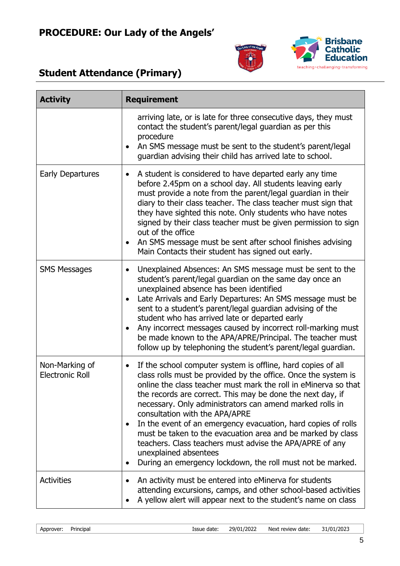



| <b>Activity</b>                          | <b>Requirement</b>                                                                                                                                                                                                                                                                                                                                                                                                                                                                                                                                                                                                                                            |
|------------------------------------------|---------------------------------------------------------------------------------------------------------------------------------------------------------------------------------------------------------------------------------------------------------------------------------------------------------------------------------------------------------------------------------------------------------------------------------------------------------------------------------------------------------------------------------------------------------------------------------------------------------------------------------------------------------------|
|                                          | arriving late, or is late for three consecutive days, they must<br>contact the student's parent/legal guardian as per this<br>procedure<br>An SMS message must be sent to the student's parent/legal<br>guardian advising their child has arrived late to school.                                                                                                                                                                                                                                                                                                                                                                                             |
| <b>Early Departures</b>                  | A student is considered to have departed early any time<br>$\bullet$<br>before 2.45pm on a school day. All students leaving early<br>must provide a note from the parent/legal guardian in their<br>diary to their class teacher. The class teacher must sign that<br>they have sighted this note. Only students who have notes<br>signed by their class teacher must be given permission to sign<br>out of the office<br>An SMS message must be sent after school finishes advising<br>$\bullet$<br>Main Contacts their student has signed out early.                                                                                                        |
| <b>SMS Messages</b>                      | Unexplained Absences: An SMS message must be sent to the<br>$\bullet$<br>student's parent/legal guardian on the same day once an<br>unexplained absence has been identified<br>Late Arrivals and Early Departures: An SMS message must be<br>sent to a student's parent/legal guardian advising of the<br>student who has arrived late or departed early<br>Any incorrect messages caused by incorrect roll-marking must<br>be made known to the APA/APRE/Principal. The teacher must<br>follow up by telephoning the student's parent/legal guardian.                                                                                                        |
| Non-Marking of<br><b>Electronic Roll</b> | If the school computer system is offline, hard copies of all<br>$\bullet$<br>class rolls must be provided by the office. Once the system is<br>online the class teacher must mark the roll in eMinerva so that<br>the records are correct. This may be done the next day, if<br>necessary. Only administrators can amend marked rolls in<br>consultation with the APA/APRE<br>In the event of an emergency evacuation, hard copies of rolls<br>must be taken to the evacuation area and be marked by class<br>teachers. Class teachers must advise the APA/APRE of any<br>unexplained absentees<br>During an emergency lockdown, the roll must not be marked. |
| <b>Activities</b>                        | An activity must be entered into eMinerva for students<br>attending excursions, camps, and other school-based activities<br>A yellow alert will appear next to the student's name on class                                                                                                                                                                                                                                                                                                                                                                                                                                                                    |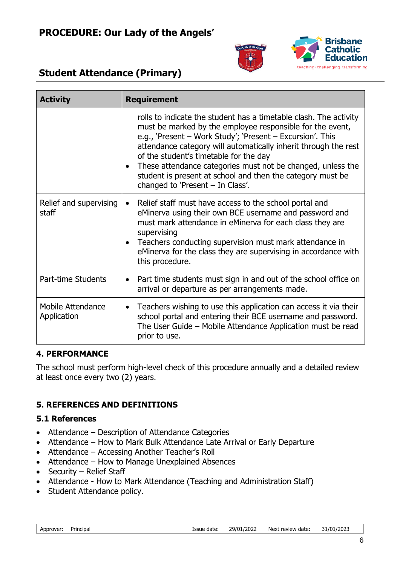



| <b>Activity</b>                  | <b>Requirement</b>                                                                                                                                                                                                                                                                                                                                                                                                                                                          |
|----------------------------------|-----------------------------------------------------------------------------------------------------------------------------------------------------------------------------------------------------------------------------------------------------------------------------------------------------------------------------------------------------------------------------------------------------------------------------------------------------------------------------|
|                                  | rolls to indicate the student has a timetable clash. The activity<br>must be marked by the employee responsible for the event,<br>e.g., 'Present – Work Study'; 'Present – Excursion'. This<br>attendance category will automatically inherit through the rest<br>of the student's timetable for the day<br>These attendance categories must not be changed, unless the<br>student is present at school and then the category must be<br>changed to 'Present $-$ In Class'. |
| Relief and supervising<br>staff  | Relief staff must have access to the school portal and<br>$\bullet$<br>eMinerva using their own BCE username and password and<br>must mark attendance in eMinerva for each class they are<br>supervising<br>Teachers conducting supervision must mark attendance in<br>eMinerva for the class they are supervising in accordance with<br>this procedure.                                                                                                                    |
| Part-time Students               | Part time students must sign in and out of the school office on<br>$\bullet$<br>arrival or departure as per arrangements made.                                                                                                                                                                                                                                                                                                                                              |
| Mobile Attendance<br>Application | Teachers wishing to use this application can access it via their<br>$\bullet$<br>school portal and entering their BCE username and password.<br>The User Guide - Mobile Attendance Application must be read<br>prior to use.                                                                                                                                                                                                                                                |

### **4. PERFORMANCE**

The school must perform high-level check of this procedure annually and a detailed review at least once every two (2) years.

### **5. REFERENCES AND DEFINITIONS**

### **5.1 References**

- Attendance Description of Attendance Categories
- Attendance How to Mark Bulk Attendance Late Arrival or Early Departure
- Attendance Accessing Another Teacher's Roll
- Attendance How to Manage Unexplained Absences
- Security Relief Staff
- Attendance How to Mark Attendance (Teaching and Administration Staff)
- Student Attendance policy.